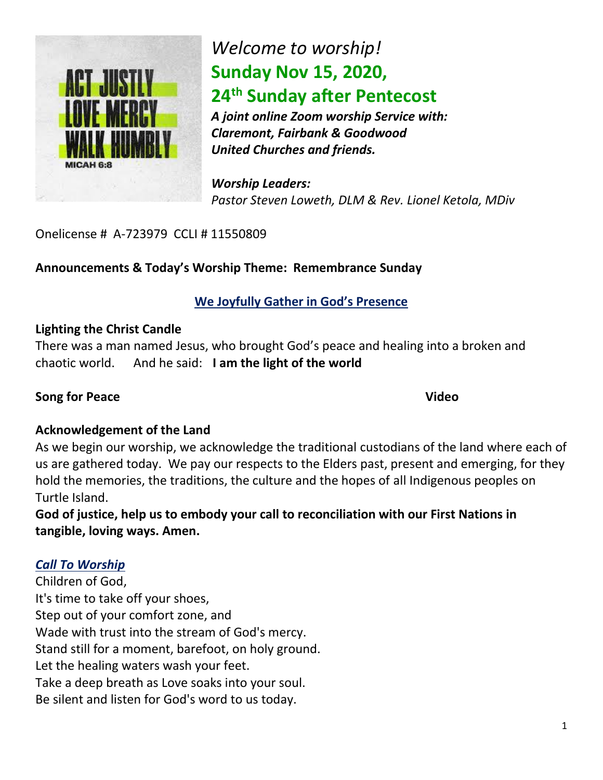

## *Welcome to worship!* **Sunday Nov 15, 2020, 24th Sunday after Pentecost**

*A joint online Zoom worship Service with: Claremont, Fairbank & Goodwood United Churches and friends.* 

*Worship Leaders: Pastor Steven Loweth, DLM & Rev. Lionel Ketola, MDiv*

Onelicense # A-723979 CCLI # 11550809

## **Announcements & Today's Worship Theme: Remembrance Sunday**

## **We Joyfully Gather in God's Presence**

## **Lighting the Christ Candle**

There was a man named Jesus, who brought God's peace and healing into a broken and chaotic world. And he said: **I am the light of the world** 

## **Song for Peace** Video

## **Acknowledgement of the Land**

As we begin our worship, we acknowledge the traditional custodians of the land where each of us are gathered today. We pay our respects to the Elders past, present and emerging, for they hold the memories, the traditions, the culture and the hopes of all Indigenous peoples on Turtle Island.

**God of justice, help us to embody your call to reconciliation with our First Nations in tangible, loving ways. Amen.** 

## *Call To Worship*

Children of God, It's time to take off your shoes, Step out of your comfort zone, and Wade with trust into the stream of God's mercy. Stand still for a moment, barefoot, on holy ground. Let the healing waters wash your feet. Take a deep breath as Love soaks into your soul. Be silent and listen for God's word to us today.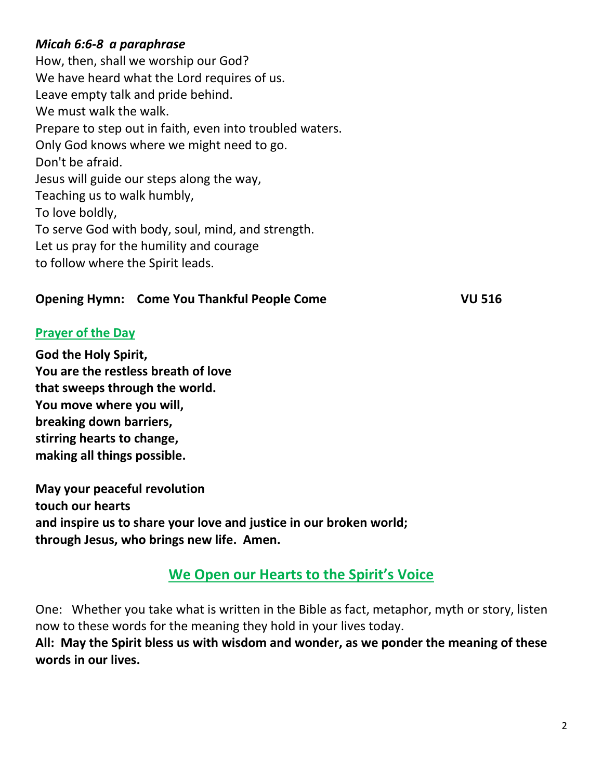## *Micah 6:6-8 a paraphrase*

How, then, shall we worship our God? We have heard what the Lord requires of us. Leave empty talk and pride behind. We must walk the walk. Prepare to step out in faith, even into troubled waters. Only God knows where we might need to go. Don't be afraid. Jesus will guide our steps along the way, Teaching us to walk humbly, To love boldly, To serve God with body, soul, mind, and strength. Let us pray for the humility and courage to follow where the Spirit leads.

## **Opening Hymn: Come You Thankful People Come**  VU 516

## **Prayer of the Day**

**God the Holy Spirit, You are the restless breath of love that sweeps through the world. You move where you will, breaking down barriers, stirring hearts to change, making all things possible.**

**May your peaceful revolution touch our hearts and inspire us to share your love and justice in our broken world; through Jesus, who brings new life. Amen.** 

## **We Open our Hearts to the Spirit's Voice**

One: Whether you take what is written in the Bible as fact, metaphor, myth or story, listen now to these words for the meaning they hold in your lives today.

**All: May the Spirit bless us with wisdom and wonder, as we ponder the meaning of these words in our lives.**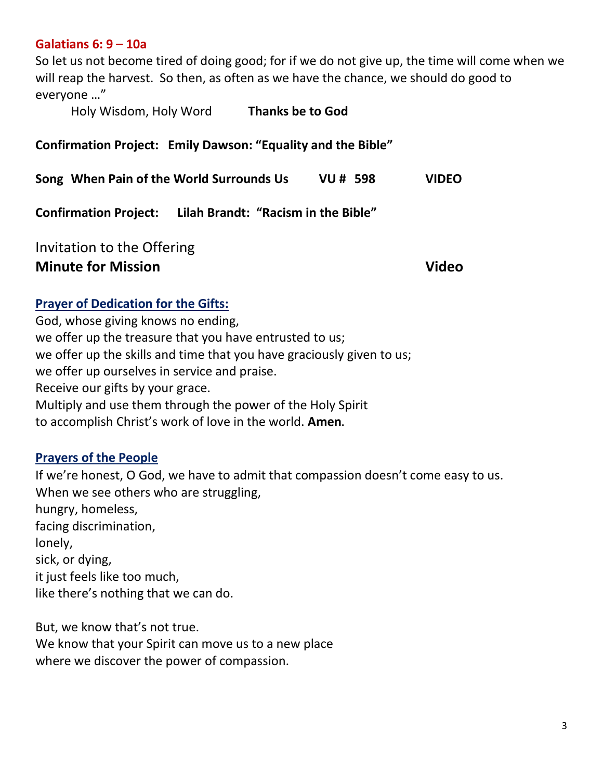#### **Galatians 6: 9 – 10a**

So let us not become tired of doing good; for if we do not give up, the time will come when we will reap the harvest. So then, as often as we have the chance, we should do good to everyone …"

Holy Wisdom, Holy Word **Thanks be to God** 

#### **Confirmation Project: Emily Dawson: "Equality and the Bible"**

**Song When Pain of the World Surrounds Us VU # 598 VIDEO**

**Confirmation Project: Lilah Brandt: "Racism in the Bible"** 

Invitation to the Offering **Minute for Mission Community Community Community Community Community Community Community Community Community Community Community Community Community Community Community Community Community Community Community Community Co** 

#### **Prayer of Dedication for the Gifts:**

God, whose giving knows no ending, we offer up the treasure that you have entrusted to us; we offer up the skills and time that you have graciously given to us; we offer up ourselves in service and praise. Receive our gifts by your grace. Multiply and use them through the power of the Holy Spirit to accomplish Christ's work of love in the world. **Amen.**

#### **Prayers of the People**

If we're honest, O God, we have to admit that compassion doesn't come easy to us. When we see others who are struggling, hungry, homeless, facing discrimination, lonely, sick, or dying, it just feels like too much, like there's nothing that we can do.

But, we know that's not true. We know that your Spirit can move us to a new place where we discover the power of compassion.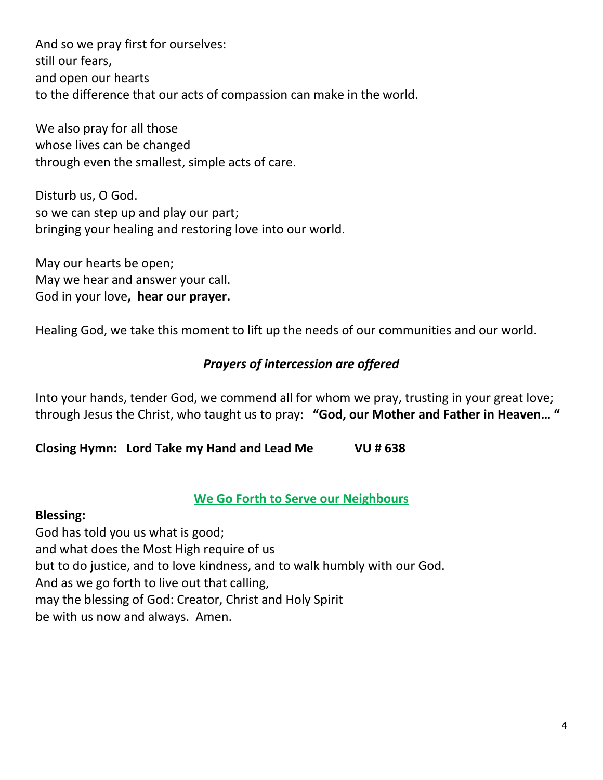And so we pray first for ourselves: still our fears, and open our hearts to the difference that our acts of compassion can make in the world.

We also pray for all those whose lives can be changed through even the smallest, simple acts of care.

Disturb us, O God. so we can step up and play our part; bringing your healing and restoring love into our world.

May our hearts be open; May we hear and answer your call. God in your love**, hear our prayer.** 

Healing God, we take this moment to lift up the needs of our communities and our world.

## *Prayers of intercession are offered*

Into your hands, tender God, we commend all for whom we pray, trusting in your great love; through Jesus the Christ, who taught us to pray: **"God, our Mother and Father in Heaven… "**

**Closing Hymn: Lord Take my Hand and Lead Me VU # 638** 

## **We Go Forth to Serve our Neighbours**

## **Blessing:**

God has told you us what is good; and what does the Most High require of us but to do justice, and to love kindness, and to walk humbly with our God. And as we go forth to live out that calling, may the blessing of God: Creator, Christ and Holy Spirit be with us now and always. Amen.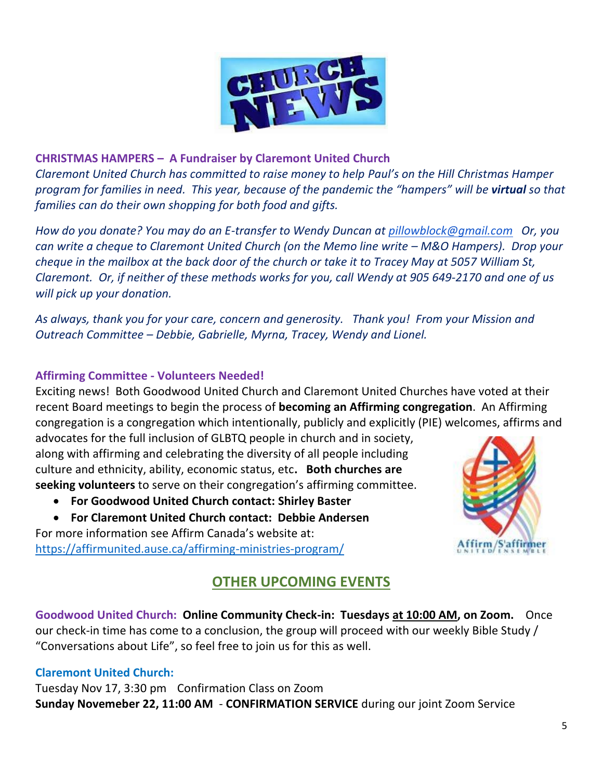

#### **CHRISTMAS HAMPERS – A Fundraiser by Claremont United Church**

*Claremont United Church has committed to raise money to help Paul's on the Hill Christmas Hamper program for families in need. This year, because of the pandemic the "hampers" will be virtual so that families can do their own shopping for both food and gifts.*

*How do you donate? You may do an E-transfer to Wendy Duncan at [pillowblock@gmail.com](mailto:pillowblock@gmail.com) Or, you can write a cheque to Claremont United Church (on the Memo line write – M&O Hampers). Drop your cheque in the mailbox at the back door of the church or take it to Tracey May at 5057 William St, Claremont. Or, if neither of these methods works for you, call Wendy at 905 649-2170 and one of us will pick up your donation.*

*As always, thank you for your care, concern and generosity. Thank you! From your Mission and Outreach Committee – Debbie, Gabrielle, Myrna, Tracey, Wendy and Lionel.* 

#### **Affirming Committee - Volunteers Needed!**

Exciting news! Both Goodwood United Church and Claremont United Churches have voted at their recent Board meetings to begin the process of **becoming an Affirming congregation**. An Affirming congregation is a congregation which intentionally, publicly and explicitly (PIE) welcomes, affirms and

advocates for the full inclusion of GLBTQ people in church and in society, along with affirming and celebrating the diversity of all people including culture and ethnicity, ability, economic status, etc**. Both churches are seeking volunteers** to serve on their congregation's affirming committee.

- **For Goodwood United Church contact: Shirley Baster**
- **For Claremont United Church contact: Debbie Andersen**

For more information see Affirm Canada's website at: <https://affirmunited.ause.ca/affirming-ministries-program/>



## **OTHER UPCOMING EVENTS**

**Goodwood United Church: Online Community Check-in: Tuesdays at 10:00 AM, on Zoom.** Once our check-in time has come to a conclusion, the group will proceed with our weekly Bible Study / "Conversations about Life", so feel free to join us for this as well.

#### **Claremont United Church:**

Tuesday Nov 17, 3:30 pm Confirmation Class on Zoom **Sunday Novemeber 22, 11:00 AM** - **CONFIRMATION SERVICE** during our joint Zoom Service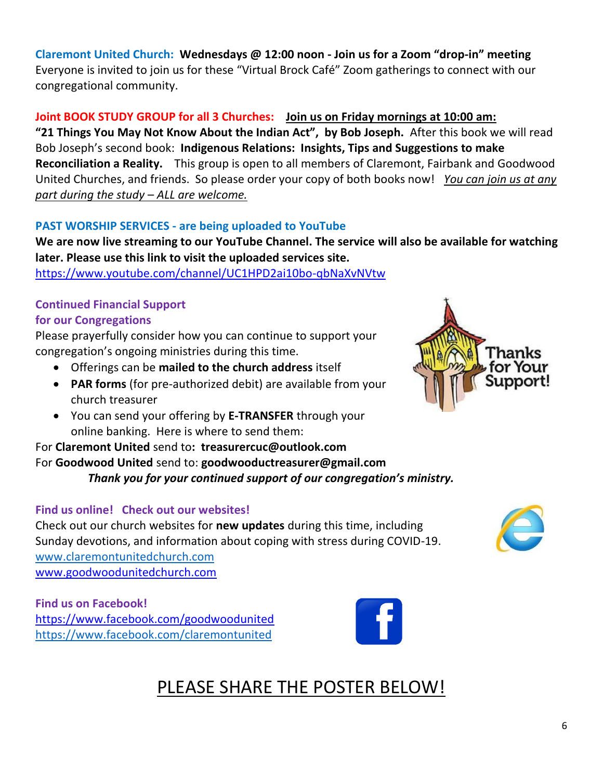**Claremont United Church: Wednesdays @ 12:00 noon - Join us for a Zoom "drop-in" meeting**  Everyone is invited to join us for these "Virtual Brock Café" Zoom gatherings to connect with our congregational community.

**Joint BOOK STUDY GROUP for all 3 Churches: Join us on Friday mornings at 10:00 am:** 

**"21 Things You May Not Know About the Indian Act", by Bob Joseph.** After this book we will read Bob Joseph's second book: **Indigenous Relations: Insights, Tips and Suggestions to make Reconciliation a Reality.** This group is open to all members of Claremont, Fairbank and Goodwood United Churches, and friends. So please order your copy of both books now! *You can join us at any part during the study – ALL are welcome.* 

## **PAST WORSHIP SERVICES - are being uploaded to YouTube**

**We are now live streaming to our YouTube Channel. The service will also be available for watching later. Please use this link to visit the uploaded services site.** 

[https://www.youtube.com/channel/UC1HPD2ai10bo-qbNaXvNVtw](about:blank)

## **Continued Financial Support**

#### **for our Congregations**

Please prayerfully consider how you can continue to support your congregation's ongoing ministries during this time.

- Offerings can be **mailed to the church address** itself
- **PAR forms** (for pre-authorized debit) are available from your church treasurer
- You can send your offering by **E-TRANSFER** through your online banking. Here is where to send them:

## For **Claremont United** send to**: treasurercuc@outlook.com**

#### For **Goodwood United** send to: **[goodwooductreasurer@gmail.com](about:blank)** *Thank you for your continued support of our congregation's ministry.*

## **Find us online! Check out our websites!**

Check out our church websites for **new updates** during this time, including Sunday devotions, and information about coping with stress during COVID-19. [www.claremontunitedchurch.com](about:blank) [www.goodwoodunitedchurch.com](about:blank)

**Find us on Facebook!**  [https://www.facebook.com/goodwoodunited](about:blank) [https://www.facebook.com/claremontunited](about:blank)